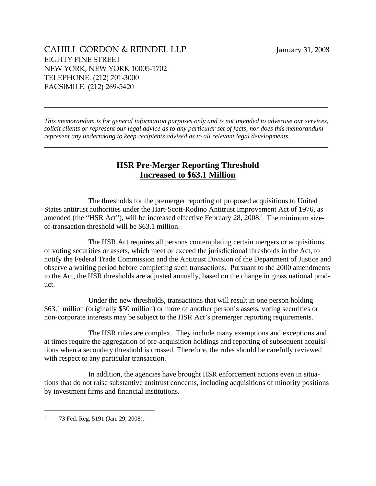*This memorandum is for general information purposes only and is not intended to advertise our services, solicit clients or represent our legal advice as to any particular set of facts, nor does this memorandum represent any undertaking to keep recipients advised as to all relevant legal developments.* 

\_\_\_\_\_\_\_\_\_\_\_\_\_\_\_\_\_\_\_\_\_\_\_\_\_\_\_\_\_\_\_\_\_\_\_\_\_\_\_\_\_\_\_\_\_\_\_\_\_\_\_\_\_\_\_\_\_\_\_\_\_\_\_\_\_\_\_\_\_\_\_\_\_\_\_\_\_

\_\_\_\_\_\_\_\_\_\_\_\_\_\_\_\_\_\_\_\_\_\_\_\_\_\_\_\_\_\_\_\_\_\_\_\_\_\_\_\_\_\_\_\_\_\_\_\_\_\_\_\_\_\_\_\_\_\_\_\_\_\_\_\_\_\_\_\_\_\_\_\_\_\_\_\_\_

## **HSR Pre-Merger Reporting Threshold Increased to \$63.1 Million**

The thresholds for the premerger reporting of proposed acquisitions to United States antitrust authorities under the Hart-Scott-Rodino Antitrust Improvement Act of 1976, as amended (the "HSR Act"), will be increased effective February 28, 2008.<sup>1</sup> The minimum sizeof-transaction threshold will be \$63.1 million.

The HSR Act requires all persons contemplating certain mergers or acquisitions of voting securities or assets, which meet or exceed the jurisdictional thresholds in the Act, to notify the Federal Trade Commission and the Antitrust Division of the Department of Justice and observe a waiting period before completing such transactions. Pursuant to the 2000 amendments to the Act, the HSR thresholds are adjusted annually, based on the change in gross national product.

Under the new thresholds, transactions that will result in one person holding \$63.1 million (originally \$50 million) or more of another person's assets, voting securities or non-corporate interests may be subject to the HSR Act's premerger reporting requirements.

The HSR rules are complex. They include many exemptions and exceptions and at times require the aggregation of pre-acquisition holdings and reporting of subsequent acquisitions when a secondary threshold is crossed. Therefore, the rules should be carefully reviewed with respect to any particular transaction.

In addition, the agencies have brought HSR enforcement actions even in situations that do not raise substantive antitrust concerns, including acquisitions of minority positions by investment firms and financial institutions.

<sup>1</sup> 73 Fed. Reg. 5191 (Jan. 29, 2008).